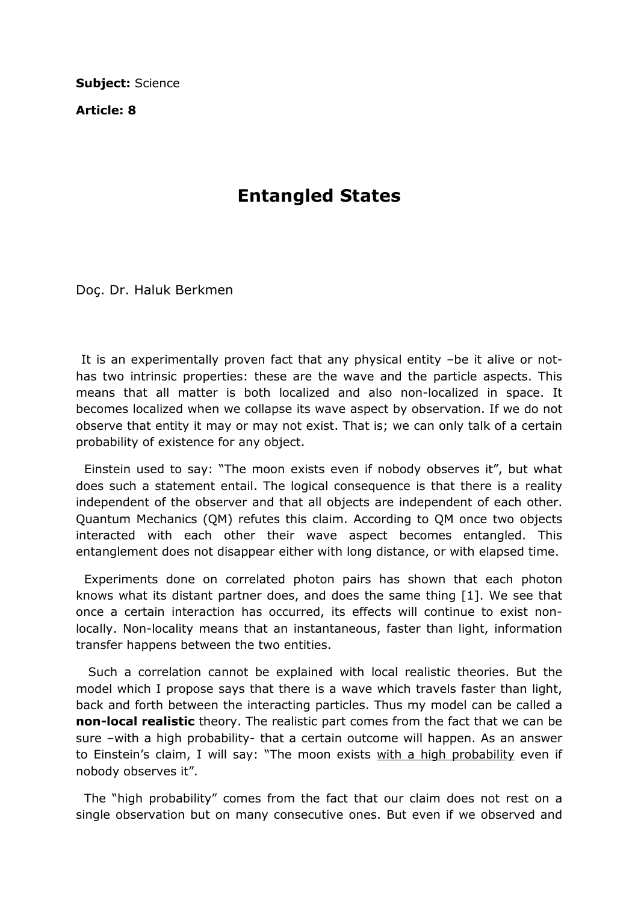Subject: Science

Article: 8

## Entangled States

Doç. Dr. Haluk Berkmen

 It is an experimentally proven fact that any physical entity –be it alive or nothas two intrinsic properties: these are the wave and the particle aspects. This means that all matter is both localized and also non-localized in space. It becomes localized when we collapse its wave aspect by observation. If we do not observe that entity it may or may not exist. That is; we can only talk of a certain probability of existence for any object.

 Einstein used to say: "The moon exists even if nobody observes it", but what does such a statement entail. The logical consequence is that there is a reality independent of the observer and that all objects are independent of each other. Quantum Mechanics (QM) refutes this claim. According to QM once two objects interacted with each other their wave aspect becomes entangled. This entanglement does not disappear either with long distance, or with elapsed time.

 Experiments done on correlated photon pairs has shown that each photon knows what its distant partner does, and does the same thing [1]. We see that once a certain interaction has occurred, its effects will continue to exist nonlocally. Non-locality means that an instantaneous, faster than light, information transfer happens between the two entities.

 Such a correlation cannot be explained with local realistic theories. But the model which I propose says that there is a wave which travels faster than light, back and forth between the interacting particles. Thus my model can be called a non-local realistic theory. The realistic part comes from the fact that we can be sure –with a high probability- that a certain outcome will happen. As an answer to Einstein's claim, I will say: "The moon exists with a high probability even if nobody observes it".

 The "high probability" comes from the fact that our claim does not rest on a single observation but on many consecutive ones. But even if we observed and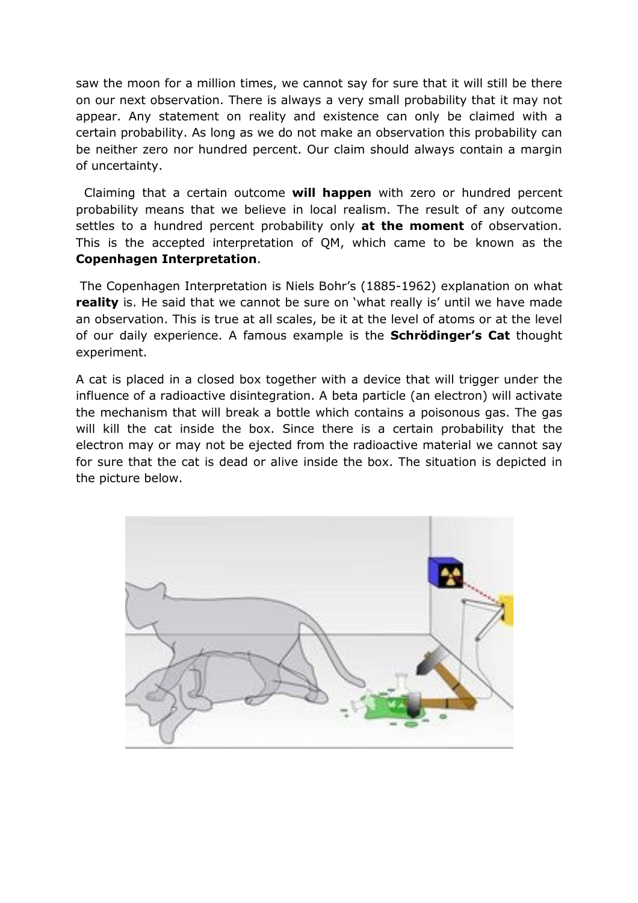saw the moon for a million times, we cannot say for sure that it will still be there on our next observation. There is always a very small probability that it may not appear. Any statement on reality and existence can only be claimed with a certain probability. As long as we do not make an observation this probability can be neither zero nor hundred percent. Our claim should always contain a margin of uncertainty.

Claiming that a certain outcome will happen with zero or hundred percent probability means that we believe in local realism. The result of any outcome settles to a hundred percent probability only at the moment of observation. This is the accepted interpretation of QM, which came to be known as the Copenhagen Interpretation.

 The Copenhagen Interpretation is Niels Bohr's (1885-1962) explanation on what **reality** is. He said that we cannot be sure on 'what really is' until we have made an observation. This is true at all scales, be it at the level of atoms or at the level of our daily experience. A famous example is the **Schrödinger's Cat** thought experiment.

A cat is placed in a closed box together with a device that will trigger under the influence of a radioactive disintegration. A beta particle (an electron) will activate the mechanism that will break a bottle which contains a poisonous gas. The gas will kill the cat inside the box. Since there is a certain probability that the electron may or may not be ejected from the radioactive material we cannot say for sure that the cat is dead or alive inside the box. The situation is depicted in the picture below.